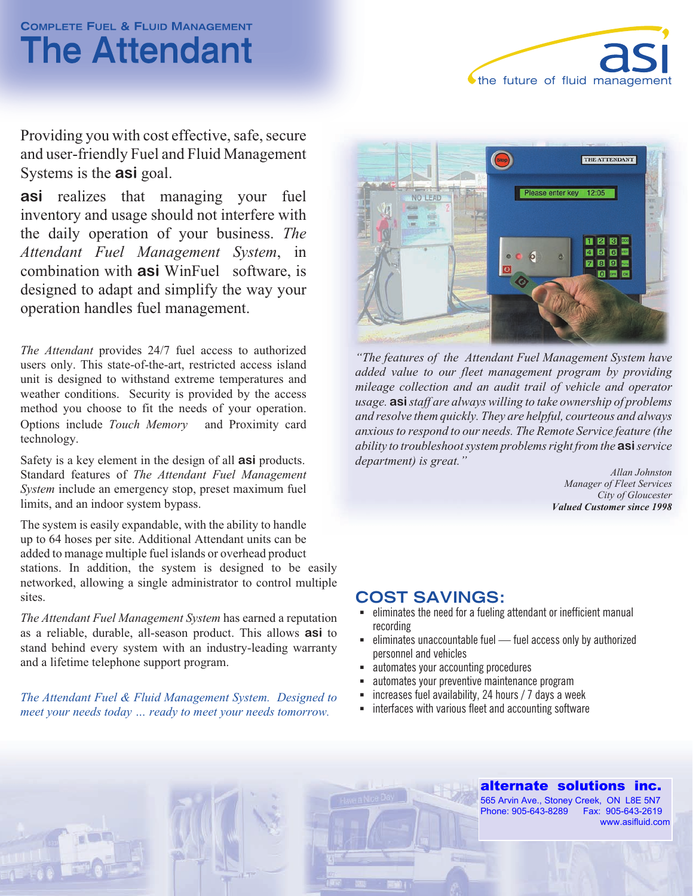# **COMPLETE FUEL & FLUID MANAGEMENT The Attendant**



Providing you with cost effective, safe, secure and user-friendly Fuel and Fluid Management Systems is the **asi** goal.

**asi** realizes that managing your fuel inventory and usage should not interfere with the daily operation of your business. *The Attendant Fuel Management System*, in combination with **asi** WinFuel<sup>®</sup> software, is designed to adapt and simplify the way your operation handles fuel management.

*The Attendant* provides 24/7 fuel access to authorized users only. This state-of-the-art, restricted access island unit is designed to withstand extreme temperatures and weather conditions. Security is provided by the access method you choose to fit the needs of your operation. Options include *Touch Memory*<sup>IM</sup> and Proximity card technology.

Safety is a key element in the design of all **asi** products. Standard features of *The Attendant Fuel Management System* include an emergency stop, preset maximum fuel limits, and an indoor system bypass.

The system is easily expandable, with the ability to handle up to 64 hoses per site. Additional Attendant units can be added to manage multiple fuel islands or overhead product stations. In addition, the system is designed to be easily networked, allowing a single administrator to control multiple sites.

*The Attendant Fuel Management System* has earned a reputation as a reliable, durable, all-season product. This allows **asi** to stand behind every system with an industry-leading warranty and a lifetime telephone support program.

*The Attendant Fuel & Fluid Management System. Designed to meet your needs today … ready to meet your needs tomorrow.*



*"The features of the Attendant Fuel Management System have added value to our fleet management program by providing mileage collection and an audit trail of vehicle and operator usage. asistaff are always willing to take ownership of problems and resolve them quickly. They are helpful, courteous and always anxious to respond to our needs. The Remote Service feature (the ability to troubleshoot system problems right from the* **asi***service department) is great."*

*Allan Johnston Manager of Fleet Services City of Gloucester Valued Customer since 1998*

#### **COST SAVINGS:**

- eliminates the need for a fueling attendant or inefficient manual recording
- § eliminates unaccountable fuel fuel access only by authorized personnel and vehicles
- § automates your accounting procedures
- automates your preventive maintenance program
- § increases fuel availability, 24 hours / 7 days a week
- interfaces with various fleet and accounting software

### **alternate solutions inc.** alternate solutions inc.

Phone: 905-643-8289 Fax: 905-643-2619 Phone: (905) 522-7008 Fax: (905) 572-6431 www.asifluid.com 565 Arvin Ave., Stoney Creek, ON L8E 5N7